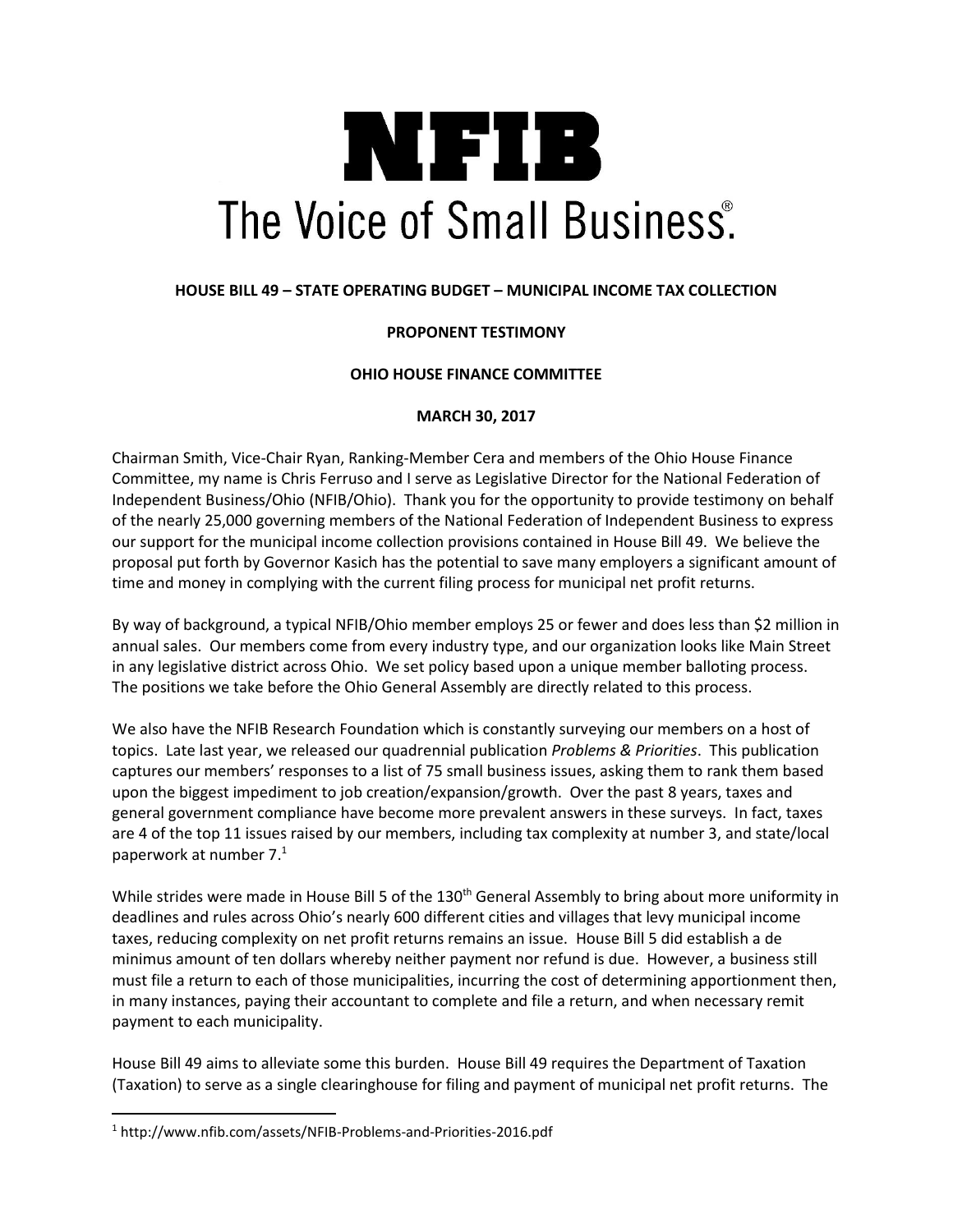# NIFIB The Voice of Small Business.

## **HOUSE BILL 49 – STATE OPERATING BUDGET – MUNICIPAL INCOME TAX COLLECTION**

## **PROPONENT TESTIMONY**

### **OHIO HOUSE FINANCE COMMITTEE**

### **MARCH 30, 2017**

Chairman Smith, Vice-Chair Ryan, Ranking-Member Cera and members of the Ohio House Finance Committee, my name is Chris Ferruso and I serve as Legislative Director for the National Federation of Independent Business/Ohio (NFIB/Ohio). Thank you for the opportunity to provide testimony on behalf of the nearly 25,000 governing members of the National Federation of Independent Business to express our support for the municipal income collection provisions contained in House Bill 49. We believe the proposal put forth by Governor Kasich has the potential to save many employers a significant amount of time and money in complying with the current filing process for municipal net profit returns.

By way of background, a typical NFIB/Ohio member employs 25 or fewer and does less than \$2 million in annual sales. Our members come from every industry type, and our organization looks like Main Street in any legislative district across Ohio. We set policy based upon a unique member balloting process. The positions we take before the Ohio General Assembly are directly related to this process.

We also have the NFIB Research Foundation which is constantly surveying our members on a host of topics. Late last year, we released our quadrennial publication *Problems & Priorities*. This publication captures our members' responses to a list of 75 small business issues, asking them to rank them based upon the biggest impediment to job creation/expansion/growth. Over the past 8 years, taxes and general government compliance have become more prevalent answers in these surveys. In fact, taxes are 4 of the top 11 issues raised by our members, including tax complexity at number 3, and state/local paperwork at number 7. $1$ 

While strides were made in House Bill 5 of the 130<sup>th</sup> General Assembly to bring about more uniformity in deadlines and rules across Ohio's nearly 600 different cities and villages that levy municipal income taxes, reducing complexity on net profit returns remains an issue. House Bill 5 did establish a de minimus amount of ten dollars whereby neither payment nor refund is due. However, a business still must file a return to each of those municipalities, incurring the cost of determining apportionment then, in many instances, paying their accountant to complete and file a return, and when necessary remit payment to each municipality.

House Bill 49 aims to alleviate some this burden. House Bill 49 requires the Department of Taxation (Taxation) to serve as a single clearinghouse for filing and payment of municipal net profit returns. The

 $\overline{\phantom{a}}$ 

<sup>1</sup> http://www.nfib.com/assets/NFIB-Problems-and-Priorities-2016.pdf